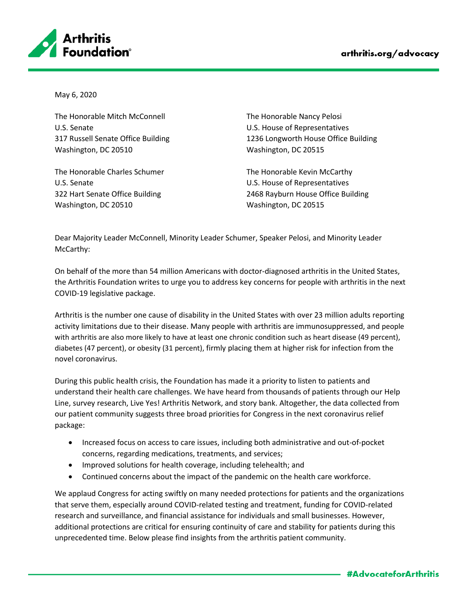

May 6, 2020

The Honorable Mitch McConnell U.S. Senate 317 Russell Senate Office Building Washington, DC 20510

The Honorable Charles Schumer U.S. Senate 322 Hart Senate Office Building Washington, DC 20510

The Honorable Nancy Pelosi U.S. House of Representatives 1236 Longworth House Office Building Washington, DC 20515

The Honorable Kevin McCarthy U.S. House of Representatives 2468 Rayburn House Office Building Washington, DC 20515

Dear Majority Leader McConnell, Minority Leader Schumer, Speaker Pelosi, and Minority Leader McCarthy:

On behalf of the more than 54 million Americans with doctor-diagnosed arthritis in the United States, the Arthritis Foundation writes to urge you to address key concerns for people with arthritis in the next COVID-19 legislative package.

Arthritis is the number one cause of disability in the United States with over 23 million adults reporting activity limitations due to their disease. Many people with arthritis are immunosuppressed, and people with arthritis are also more likely to have at least one chronic condition such as heart disease (49 percent), diabetes (47 percent), or obesity (31 percent), firmly placing them at higher risk for infection from the novel coronavirus.

During this public health crisis, the Foundation has made it a priority to listen to patients and understand their health care challenges. We have heard from thousands of patients through our Help Line, survey research, Live Yes! Arthritis Network, and story bank. Altogether, the data collected from our patient community suggests three broad priorities for Congress in the next coronavirus relief package:

- Increased focus on access to care issues, including both administrative and out-of-pocket concerns, regarding medications, treatments, and services;
- Improved solutions for health coverage, including telehealth; and
- Continued concerns about the impact of the pandemic on the health care workforce.

We applaud Congress for acting swiftly on many needed protections for patients and the organizations that serve them, especially around COVID-related testing and treatment, funding for COVID-related research and surveillance, and financial assistance for individuals and small businesses. However, additional protections are critical for ensuring continuity of care and stability for patients during this unprecedented time. Below please find insights from the arthritis patient community.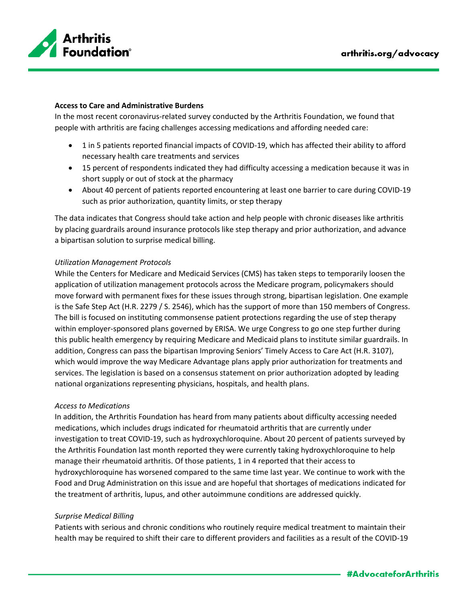

#### **Access to Care and Administrative Burdens**

In the most recent coronavirus-related survey conducted by the Arthritis Foundation, we found that people with arthritis are facing challenges accessing medications and affording needed care:

- 1 in 5 patients reported financial impacts of COVID-19, which has affected their ability to afford necessary health care treatments and services
- 15 percent of respondents indicated they had difficulty accessing a medication because it was in short supply or out of stock at the pharmacy
- About 40 percent of patients reported encountering at least one barrier to care during COVID-19 such as prior authorization, quantity limits, or step therapy

The data indicates that Congress should take action and help people with chronic diseases like arthritis by placing guardrails around insurance protocols like step therapy and prior authorization, and advance a bipartisan solution to surprise medical billing.

### *Utilization Management Protocols*

While the Centers for Medicare and Medicaid Services (CMS) has taken steps to temporarily loosen the application of utilization management protocols across the Medicare program, policymakers should move forward with permanent fixes for these issues through strong, bipartisan legislation. One example is the Safe Step Act (H.R. 2279 / S. 2546), which has the support of more than 150 members of Congress. The bill is focused on instituting commonsense patient protections regarding the use of step therapy within employer-sponsored plans governed by ERISA. We urge Congress to go one step further during this public health emergency by requiring Medicare and Medicaid plans to institute similar guardrails. In addition, Congress can pass the bipartisan Improving Seniors' Timely Access to Care Act (H.R. 3107), which would improve the way Medicare Advantage plans apply prior authorization for treatments and services. The legislation is based on a consensus statement on prior authorization adopted by leading national organizations representing physicians, hospitals, and health plans.

### *Access to Medications*

In addition, the Arthritis Foundation has heard from many patients about difficulty accessing needed medications, which includes drugs indicated for rheumatoid arthritis that are currently under investigation to treat COVID-19, such as hydroxychloroquine. About 20 percent of patients surveyed by the Arthritis Foundation last month reported they were currently taking hydroxychloroquine to help manage their rheumatoid arthritis. Of those patients, 1 in 4 reported that their access to hydroxychloroquine has worsened compared to the same time last year. We continue to work with the Food and Drug Administration on this issue and are hopeful that shortages of medications indicated for the treatment of arthritis, lupus, and other autoimmune conditions are addressed quickly.

### *Surprise Medical Billing*

Patients with serious and chronic conditions who routinely require medical treatment to maintain their health may be required to shift their care to different providers and facilities as a result of the COVID-19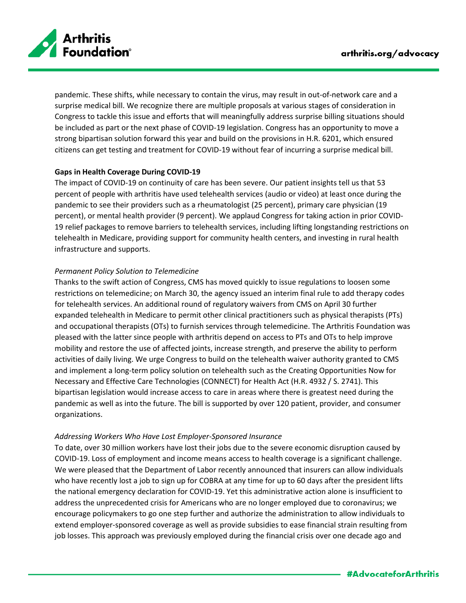

pandemic. These shifts, while necessary to contain the virus, may result in out-of-network care and a surprise medical bill. We recognize there are multiple proposals at various stages of consideration in Congress to tackle this issue and efforts that will meaningfully address surprise billing situations should be included as part or the next phase of COVID-19 legislation. Congress has an opportunity to move a strong bipartisan solution forward this year and build on the provisions in H.R. 6201, which ensured citizens can get testing and treatment for COVID-19 without fear of incurring a surprise medical bill.

# **Gaps in Health Coverage During COVID-19**

The impact of COVID-19 on continuity of care has been severe. Our patient insights tell us that 53 percent of people with arthritis have used telehealth services (audio or video) at least once during the pandemic to see their providers such as a rheumatologist (25 percent), primary care physician (19 percent), or mental health provider (9 percent). We applaud Congress for taking action in prior COVID-19 relief packages to remove barriers to telehealth services, including lifting longstanding restrictions on telehealth in Medicare, providing support for community health centers, and investing in rural health infrastructure and supports.

## *Permanent Policy Solution to Telemedicine*

Thanks to the swift action of Congress, CMS has moved quickly to issue regulations to loosen some restrictions on telemedicine; on March 30, the agency issued an interim final rule to add therapy codes for telehealth services. An additional round of regulatory waivers from CMS on April 30 further expanded telehealth in Medicare to permit other clinical practitioners such as physical therapists (PTs) and occupational therapists (OTs) to furnish services through telemedicine. The Arthritis Foundation was pleased with the latter since people with arthritis depend on access to PTs and OTs to help improve mobility and restore the use of affected joints, increase strength, and preserve the ability to perform activities of daily living. We urge Congress to build on the telehealth waiver authority granted to CMS and implement a long-term policy solution on telehealth such as the Creating Opportunities Now for Necessary and Effective Care Technologies (CONNECT) for Health Act (H.R. 4932 / S. 2741). This bipartisan legislation would increase access to care in areas where there is greatest need during the pandemic as well as into the future. The bill is supported by over 120 patient, provider, and consumer organizations.

### *Addressing Workers Who Have Lost Employer-Sponsored Insurance*

To date, over 30 million workers have lost their jobs due to the severe economic disruption caused by COVID-19. Loss of employment and income means access to health coverage is a significant challenge. We were pleased that the Department of Labor recently announced that insurers can allow individuals who have recently lost a job to sign up for COBRA at any time for up to 60 days after the president lifts the national emergency declaration for COVID-19. Yet this administrative action alone is insufficient to address the unprecedented crisis for Americans who are no longer employed due to coronavirus; we encourage policymakers to go one step further and authorize the administration to allow individuals to extend employer-sponsored coverage as well as provide subsidies to ease financial strain resulting from job losses. This approach was previously employed during the financial crisis over one decade ago and